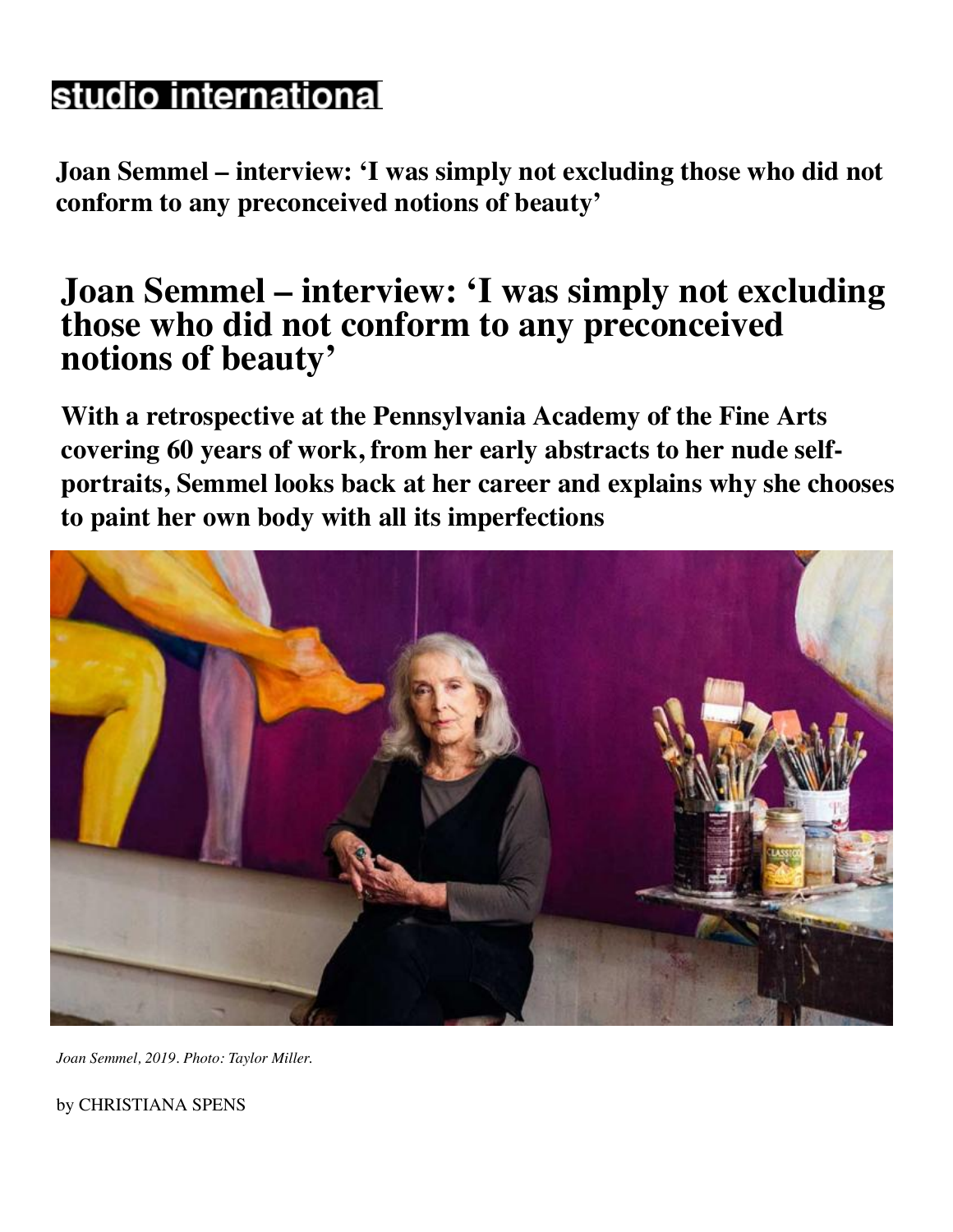# studio international

**Joan Semmel – interview: 'I was simply not excluding those who did not conform to any preconceived notions of beauty'**

## **[Joan Semmel – interview: 'I was simply not excludin](https://www.facebook.com/sharer.php?u=https://www.studiointernational.com/index.php/joan-semmel-interview-retrospective-not-excluding-those-who-did-not-conform-to-preconceived-notions-of-beauty)g those who did not conform to any preconceived notions of beauty'**

**With a retrospective at the Pennsylvania Academy of the Fine Arts covering 60 years of work, from her early abstracts to her nude selfportraits, Semmel looks back at her career and explains why she chooses to paint her own body with all its imperfections**



*Joan Semmel, 2019. Photo: Taylor Miller.*

by CHRISTIANA SPENS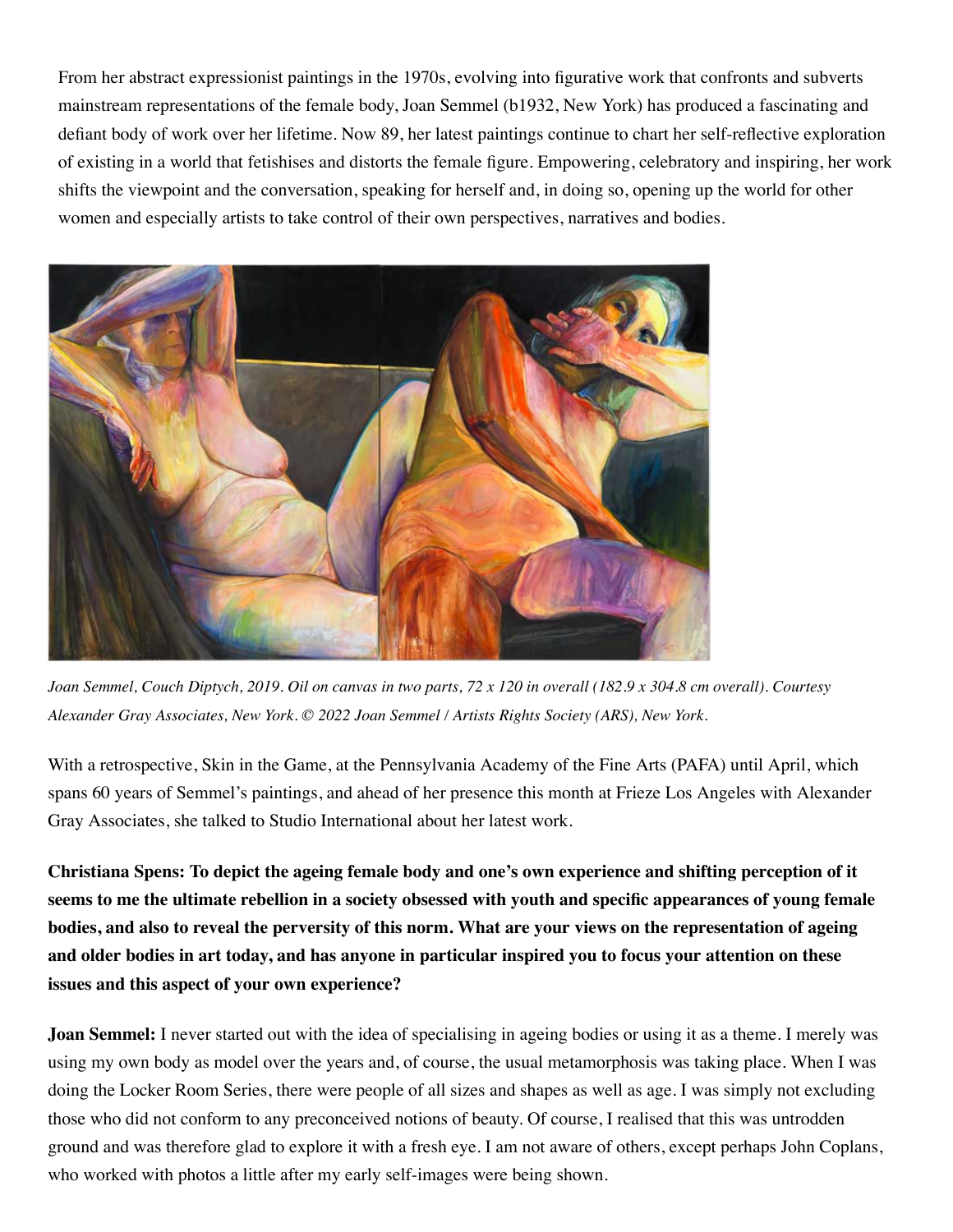From her abstract expressionist paintings in the 1970s, evolving into figurative work that confronts and subverts mainstream representations of the female body, Joan Semmel (b1932, New York) has produced a fascinating and defiant body of work over her lifetime. Now 89, her latest paintings continue to chart her self-reflective exploration of existing in a world that fetishises and distorts the female figure. Empowering, celebratory and inspiring, her work shifts the viewpoint and the conversation, speaking for herself and, in doing so, opening up the world for other women and especially artists to take control of their own perspectives, narratives and bodies.



*Joan Semmel, Couch Diptych, 2019. Oil on canvas in two parts, 72 x 120 in overall (182.9 x 304.8 cm overall). Courtesy Alexander Gray Associates, New York. © 2022 Joan Semmel / Artists Rights Society (ARS), New York.*

With a retrospective, Skin in the Game, at the Pennsylvania Academy of the Fine Arts (PAFA) until April, which spans 60 years of Semmel's paintings, and ahead of her presence this month at Frieze Los Angeles with Alexander Gray Associates, she talked to Studio International about her latest work.

**Christiana Spens: To depict the ageing female body and one's own experience and shifting perception of it seems to me the ultimate rebellion in a society obsessed with youth and specific appearances of young female bodies, and also to reveal the perversity of this norm. What are your views on the representation of ageing and older bodies in art today, and has anyone in particular inspired you to focus your attention on these issues and this aspect of your own experience?**

**Joan Semmel:** I never started out with the idea of specialising in ageing bodies or using it as a theme. I merely was using my own body as model over the years and, of course, the usual metamorphosis was taking place. When I was doing the Locker Room Series, there were people of all sizes and shapes as well as age. I was simply not excluding those who did not conform to any preconceived notions of beauty. Of course, I realised that this was untrodden ground and was therefore glad to explore it with a fresh eye. I am not aware of others, except perhaps John Coplans, who worked with photos a little after my early self-images were being shown.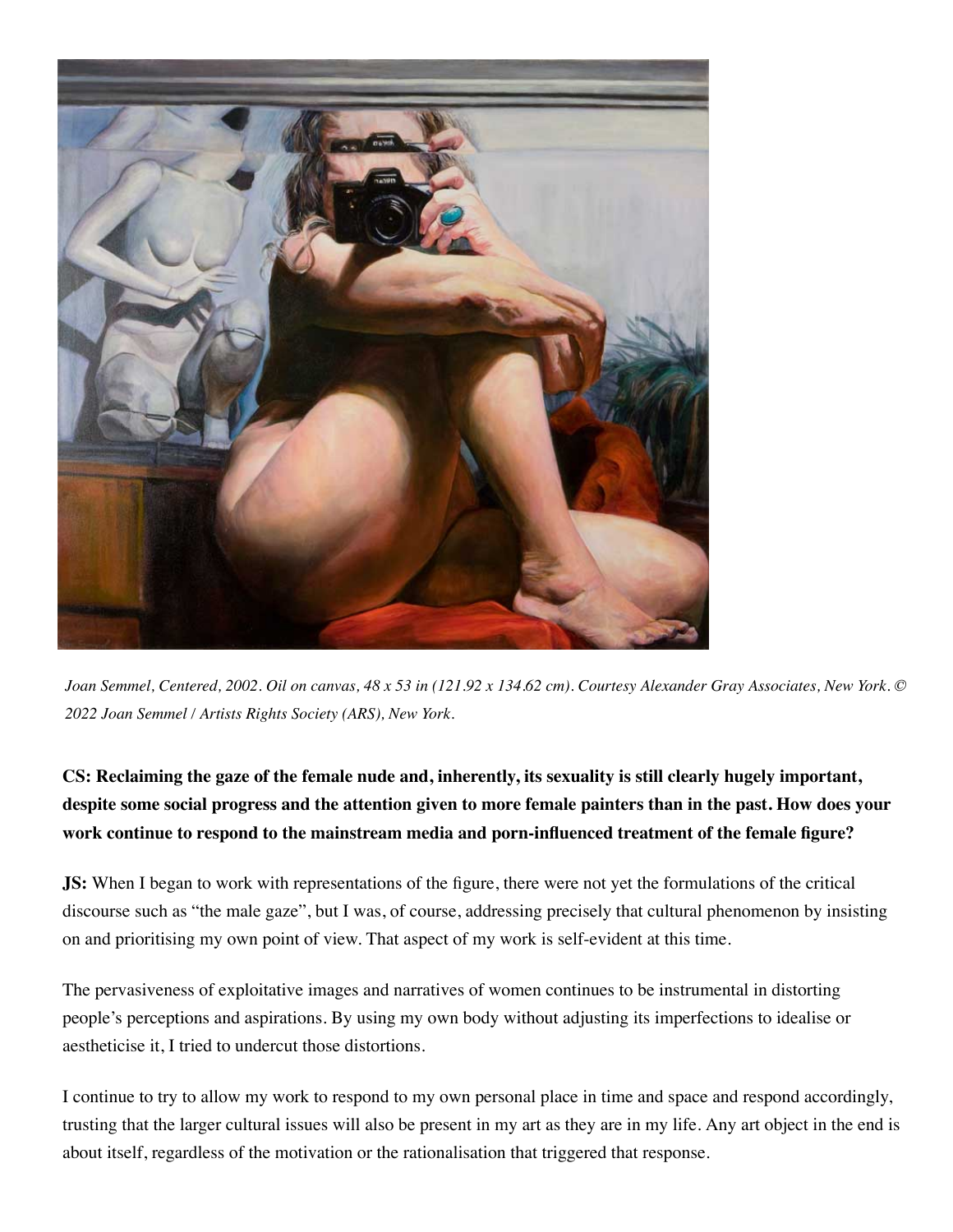

*Joan Semmel, Centered, 2002. Oil on canvas, 48 x 53 in (121.92 x 134.62 cm). Courtesy Alexander Gray Associates, New York. © 2022 Joan Semmel / Artists Rights Society (ARS), New York.*

**CS: Reclaiming the gaze of the female nude and, inherently, its sexuality is still clearly hugely important, despite some social progress and the attention given to more female painters than in the past. How does your work continue to respond to the mainstream media and porn-influenced treatment of the female figure?**

**JS:** When I began to work with representations of the figure, there were not yet the formulations of the critical discourse such as "the male gaze", but I was, of course, addressing precisely that cultural phenomenon by insisting on and prioritising my own point of view. That aspect of my work is self-evident at this time.

The pervasiveness of exploitative images and narratives of women continues to be instrumental in distorting people's perceptions and aspirations. By using my own body without adjusting its imperfections to idealise or aestheticise it, I tried to undercut those distortions.

I continue to try to allow my work to respond to my own personal place in time and space and respond accordingly, trusting that the larger cultural issues will also be present in my art as they are in my life. Any art object in the end is about itself, regardless of the motivation or the rationalisation that triggered that response.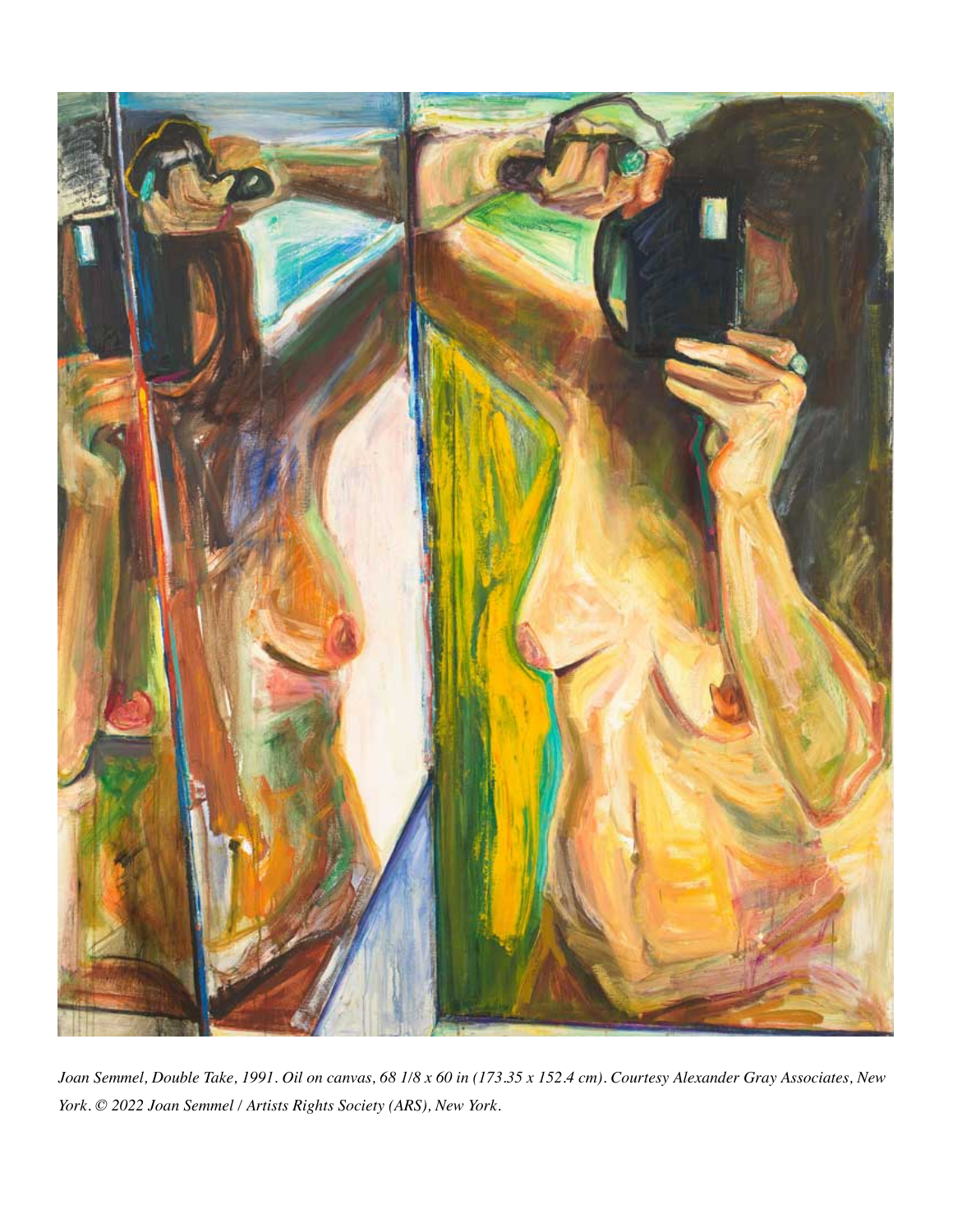

*Joan Semmel, Double Take, 1991. Oil on canvas, 68 1/8 x 60 in (173.35 x 152.4 cm). Courtesy Alexander Gray Associates, New York. © 2022 Joan Semmel / Artists Rights Society (ARS), New York.*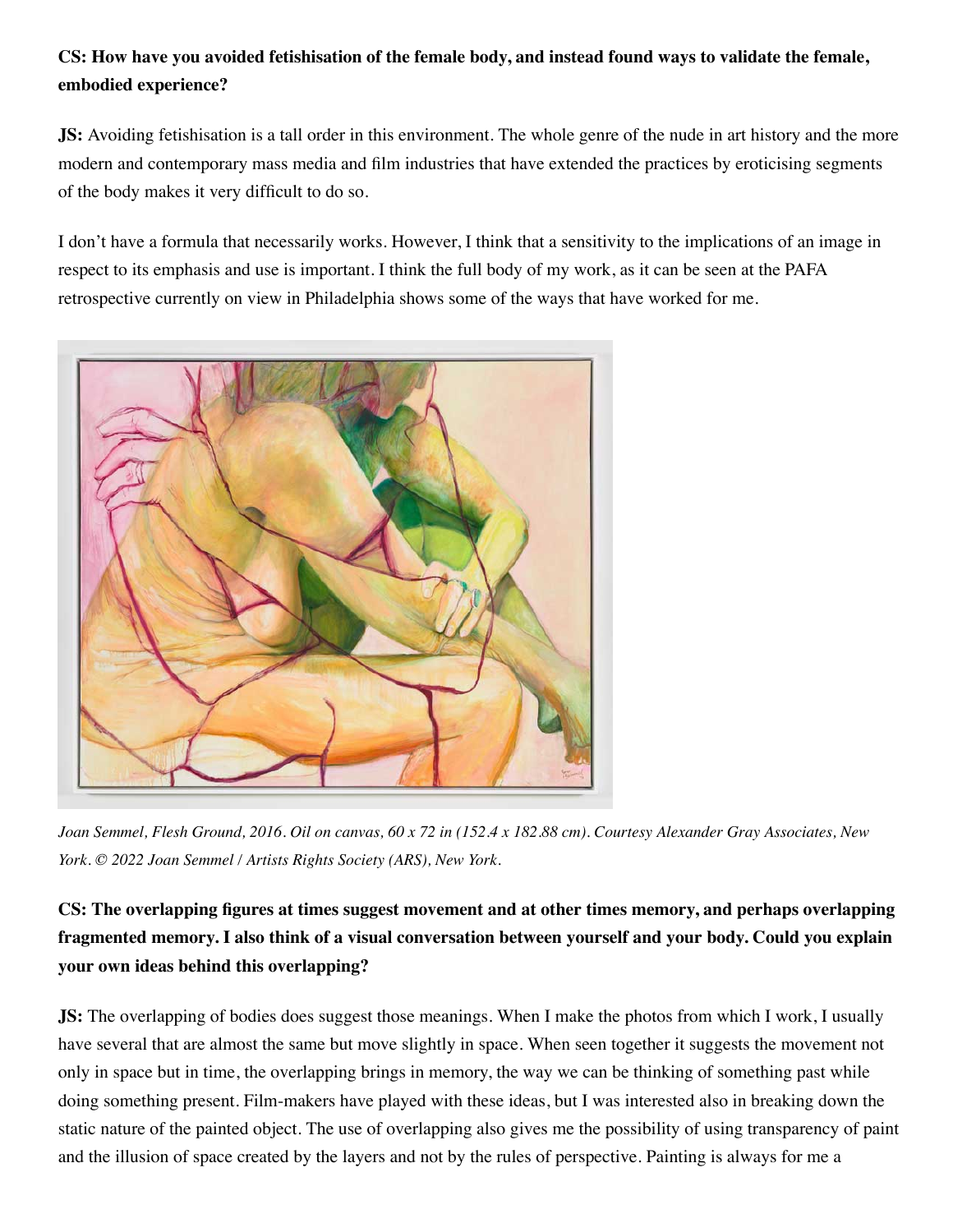#### **CS: How have you avoided fetishisation of the female body, and instead found ways to validate the female, embodied experience?**

**JS:** Avoiding fetishisation is a tall order in this environment. The whole genre of the nude in art history and the more modern and contemporary mass media and film industries that have extended the practices by eroticising segments of the body makes it very difficult to do so.

I don't have a formula that necessarily works. However, I think that a sensitivity to the implications of an image in respect to its emphasis and use is important. I think the full body of my work, as it can be seen at the PAFA retrospective currently on view in Philadelphia shows some of the ways that have worked for me.



*Joan Semmel, Flesh Ground, 2016. Oil on canvas, 60 x 72 in (152.4 x 182.88 cm). Courtesy Alexander Gray Associates, New York. © 2022 Joan Semmel / Artists Rights Society (ARS), New York.*

### **CS: The overlapping figures at times suggest movement and at other times memory, and perhaps overlapping fragmented memory. I also think of a visual conversation between yourself and your body. Could you explain your own ideas behind this overlapping?**

**JS:** The overlapping of bodies does suggest those meanings. When I make the photos from which I work, I usually have several that are almost the same but move slightly in space. When seen together it suggests the movement not only in space but in time, the overlapping brings in memory, the way we can be thinking of something past while doing something present. Film-makers have played with these ideas, but I was interested also in breaking down the static nature of the painted object. The use of overlapping also gives me the possibility of using transparency of paint and the illusion of space created by the layers and not by the rules of perspective. Painting is always for me a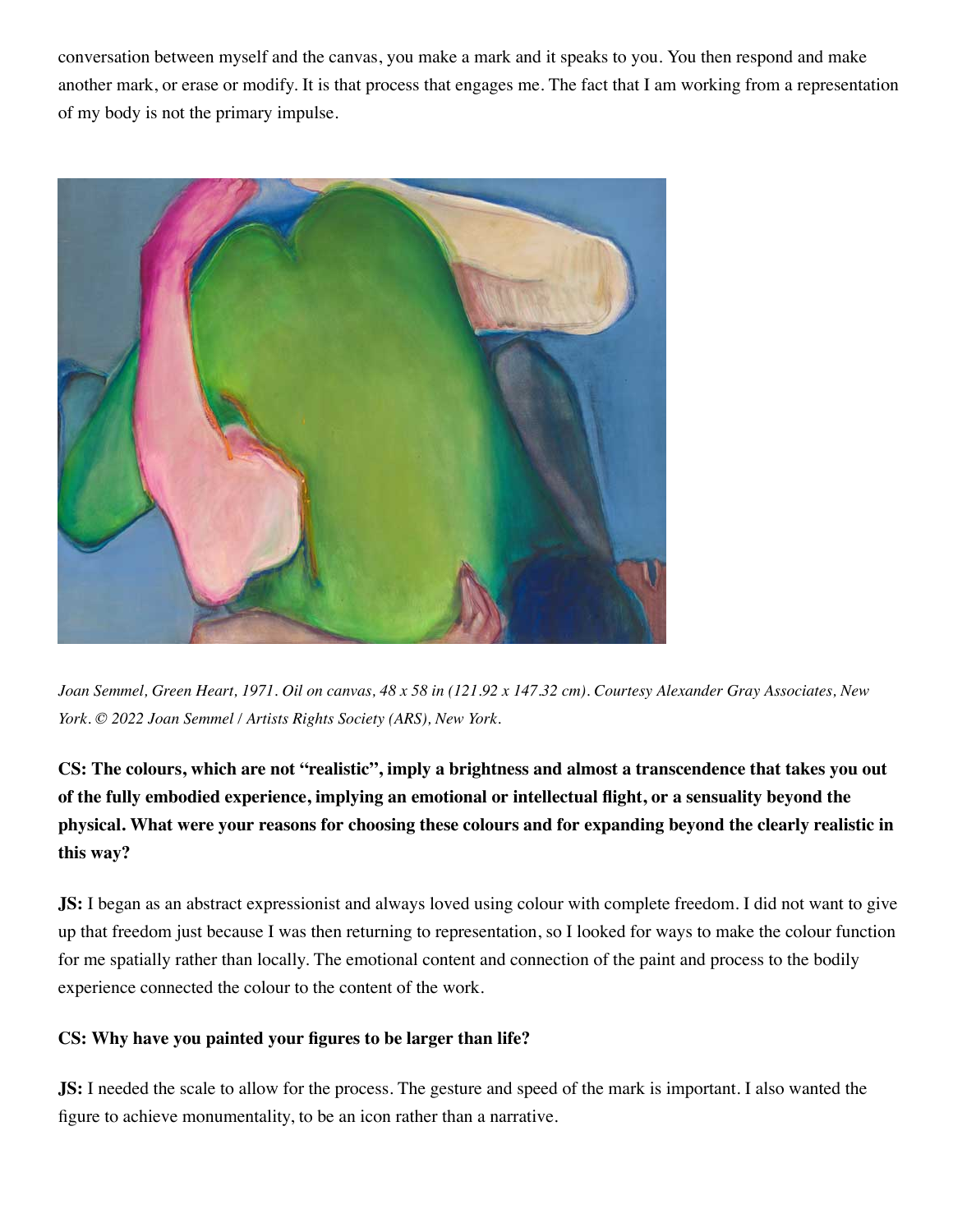conversation between myself and the canvas, you make a mark and it speaks to you. You then respond and make another mark, or erase or modify. It is that process that engages me. The fact that I am working from a representation of my body is not the primary impulse.



*Joan Semmel, Green Heart, 1971. Oil on canvas, 48 x 58 in (121.92 x 147.32 cm). Courtesy Alexander Gray Associates, New York. © 2022 Joan Semmel / Artists Rights Society (ARS), New York.*

**CS: The colours, which are not "realistic", imply a brightness and almost a transcendence that takes you out of the fully embodied experience, implying an emotional or intellectual flight, or a sensuality beyond the physical. What were your reasons for choosing these colours and for expanding beyond the clearly realistic in this way?**

**JS:** I began as an abstract expressionist and always loved using colour with complete freedom. I did not want to give up that freedom just because I was then returning to representation, so I looked for ways to make the colour function for me spatially rather than locally. The emotional content and connection of the paint and process to the bodily experience connected the colour to the content of the work.

#### **CS: Why have you painted your figures to be larger than life?**

**JS:** I needed the scale to allow for the process. The gesture and speed of the mark is important. I also wanted the figure to achieve monumentality, to be an icon rather than a narrative.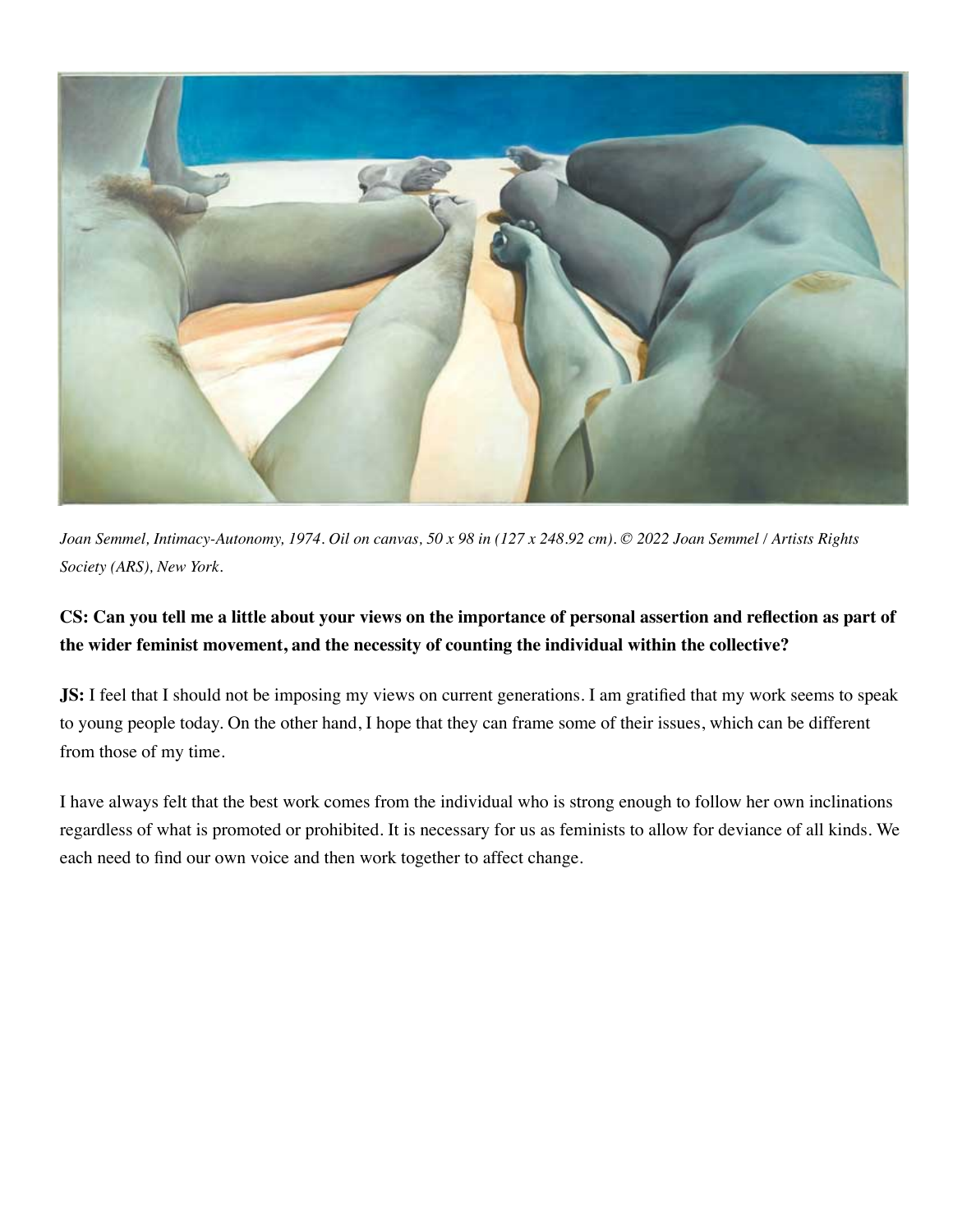

*Joan Semmel, Intimacy-Autonomy, 1974. Oil on canvas, 50 x 98 in (127 x 248.92 cm). © 2022 Joan Semmel / Artists Rights Society (ARS), New York.*

#### **CS: Can you tell me a little about your views on the importance of personal assertion and reflection as part of the wider feminist movement, and the necessity of counting the individual within the collective?**

**JS:** I feel that I should not be imposing my views on current generations. I am gratified that my work seems to speak to young people today. On the other hand, I hope that they can frame some of their issues, which can be different from those of my time.

I have always felt that the best work comes from the individual who is strong enough to follow her own inclinations regardless of what is promoted or prohibited. It is necessary for us as feminists to allow for deviance of all kinds. We each need to find our own voice and then work together to affect change.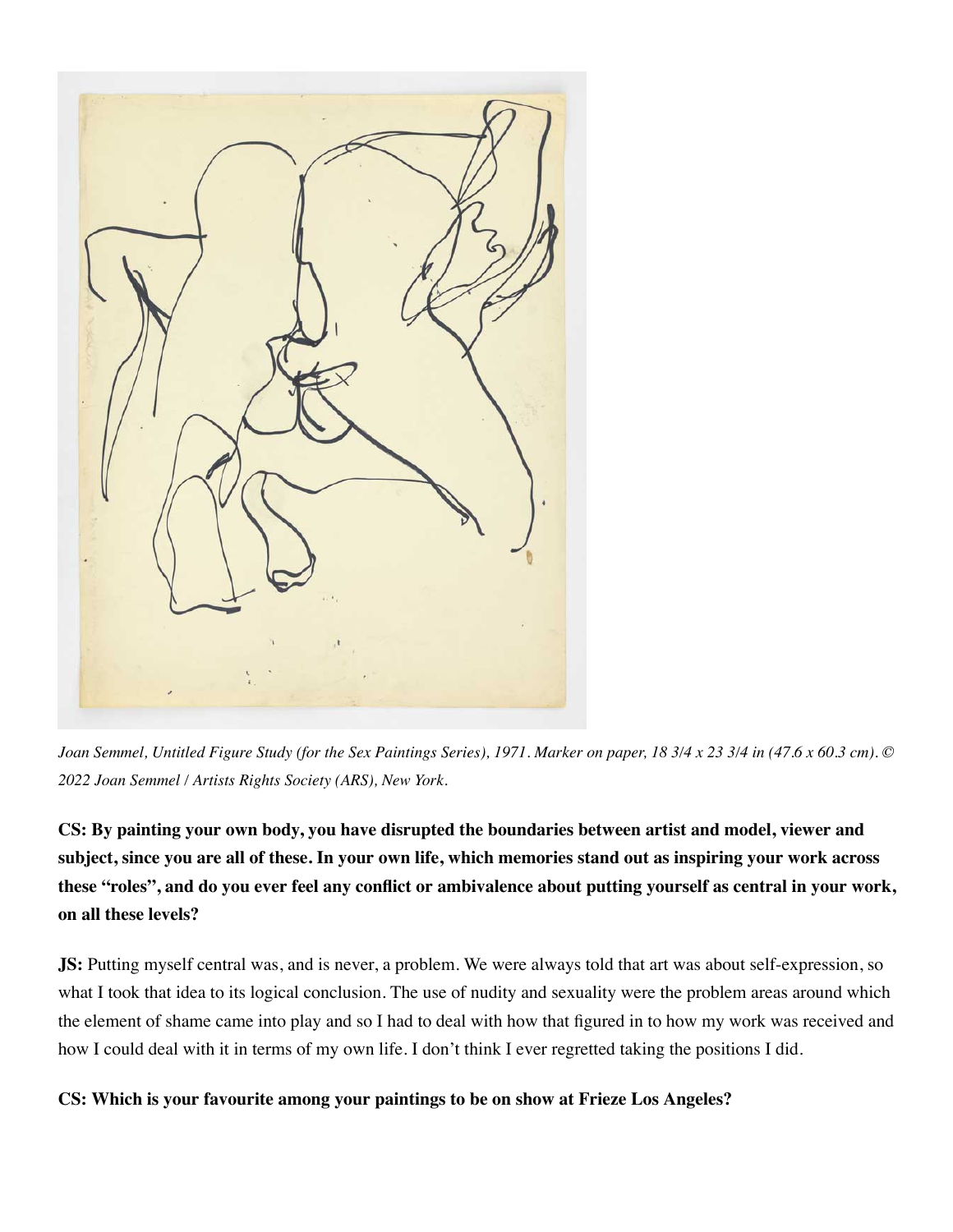

*Joan Semmel, Untitled Figure Study (for the Sex Paintings Series), 1971. Marker on paper, 18 3/4 x 23 3/4 in (47.6 x 60.3 cm). © 2022 Joan Semmel / Artists Rights Society (ARS), New York.*

**CS: By painting your own body, you have disrupted the boundaries between artist and model, viewer and subject, since you are all of these. In your own life, which memories stand out as inspiring your work across these "roles", and do you ever feel any conflict or ambivalence about putting yourself as central in your work, on all these levels?**

**JS:** Putting myself central was, and is never, a problem. We were always told that art was about self-expression, so what I took that idea to its logical conclusion. The use of nudity and sexuality were the problem areas around which the element of shame came into play and so I had to deal with how that figured in to how my work was received and how I could deal with it in terms of my own life. I don't think I ever regretted taking the positions I did.

**CS: Which is your favourite among your paintings to be on show at Frieze Los Angeles?**